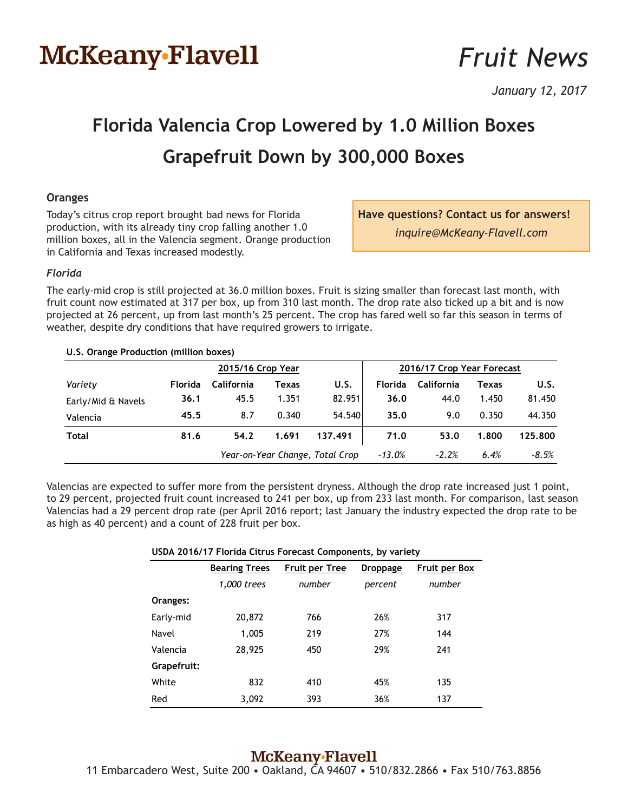# McKeany-Flavell

# *Fruit News*

*January 12, 2017*

# **Florida Valencia Crop Lowered by 1.0 Million Boxes Grapefruit Down by 300,000 Boxes**

## **Oranges**

Today's citrus crop report brought bad news for Florida production, with its already tiny crop falling another 1.0 million boxes, all in the Valencia segment. Orange production in California and Texas increased modestly.

**Have questions? Contact us for answers!** *inquire@McKeany-Flavell.com*

### *Florida*

The early-mid crop is still projected at 36.0 million boxes. Fruit is sizing smaller than forecast last month, with fruit count now estimated at 317 per box, up from 310 last month. The drop rate also ticked up a bit and is now projected at 26 percent, up from last month's 25 percent. The crop has fared well so far this season in terms of weather, despite dry conditions that have required growers to irrigate.

| U.S. Orange Production (million boxes) |                   |                                 |       |         |                            |                   |       |         |
|----------------------------------------|-------------------|---------------------------------|-------|---------|----------------------------|-------------------|-------|---------|
|                                        | 2015/16 Crop Year |                                 |       |         | 2016/17 Crop Year Forecast |                   |       |         |
| Variety                                | <b>Florida</b>    | California                      | Texas | U.S.    | <b>Florida</b>             | <b>California</b> | Texas | U.S.    |
| Early/Mid & Navels                     | 36.1              | 45.5                            | 1.351 | 82.951  | 36.0                       | 44.0              | 1.450 | 81.450  |
| Valencia                               | 45.5              | 8.7                             | 0.340 | 54.540  | 35.0                       | 9.0               | 0.350 | 44.350  |
| Total                                  | 81.6              | 54.2                            | 1.691 | 137.491 | 71.0                       | 53.0              | 1.800 | 125.800 |
|                                        |                   | Year-on-Year Change, Total Crop |       |         | $-13.0\%$                  | $-2.2%$           | 6.4%  | $-8.5%$ |

Valencias are expected to suffer more from the persistent dryness. Although the drop rate increased just 1 point, to 29 percent, projected fruit count increased to 241 per box, up from 233 last month. For comparison, last season Valencias had a 29 percent drop rate (per April 2016 report; last January the industry expected the drop rate to be as high as 40 percent) and a count of 228 fruit per box.

### **USDA 2016/17 Florida Citrus Forecast Components, by variety**

|             | <b>Bearing Trees</b> | <b>Fruit per Tree</b> | <b>Droppage</b> | <b>Fruit per Box</b> |  |
|-------------|----------------------|-----------------------|-----------------|----------------------|--|
|             | 1,000 trees          | number                | percent         | number               |  |
| Oranges:    |                      |                       |                 |                      |  |
| Early-mid   | 20,872               | 766                   | 26%             | 317                  |  |
| Navel       | 1,005                | 219                   | 27%             | 144                  |  |
| Valencia    | 28,925               | 450                   | 29%             | 241                  |  |
| Grapefruit: |                      |                       |                 |                      |  |
| White       | 832                  | 410                   | 45%             | 135                  |  |
| Red         | 3,092                | 393                   | 36%             | 137                  |  |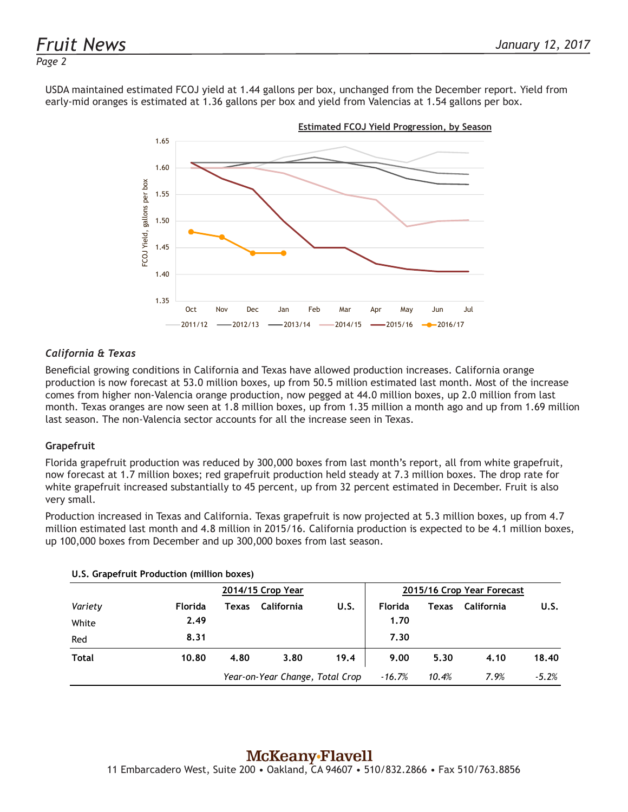### *Page 2*

USDA maintained estimated FCOJ yield at 1.44 gallons per box, unchanged from the December report. Yield from early-mid oranges is estimated at 1.36 gallons per box and yield from Valencias at 1.54 gallons per box.



## *California & Texas*

Beneficial growing conditions in California and Texas have allowed production increases. California orange production is now forecast at 53.0 million boxes, up from 50.5 million estimated last month. Most of the increase comes from higher non-Valencia orange production, now pegged at 44.0 million boxes, up 2.0 million from last month. Texas oranges are now seen at 1.8 million boxes, up from 1.35 million a month ago and up from 1.69 million last season. The non-Valencia sector accounts for all the increase seen in Texas.

### **Grapefruit**

Florida grapefruit production was reduced by 300,000 boxes from last month's report, all from white grapefruit, now forecast at 1.7 million boxes; red grapefruit production held steady at 7.3 million boxes. The drop rate for white grapefruit increased substantially to 45 percent, up from 32 percent estimated in December. Fruit is also very small.

Production increased in Texas and California. Texas grapefruit is now projected at 5.3 million boxes, up from 4.7 million estimated last month and 4.8 million in 2015/16. California production is expected to be 4.1 million boxes, up 100,000 boxes from December and up 300,000 boxes from last season.

|         |                | 2014/15 Crop Year |                                 |      |                | 2015/16 Crop Year Forecast |            |         |  |
|---------|----------------|-------------------|---------------------------------|------|----------------|----------------------------|------------|---------|--|
| Variety | <b>Florida</b> | Texas             | California                      | U.S. | <b>Florida</b> | Texas                      | California | U.S.    |  |
| White   | 2.49           |                   |                                 |      | 1.70           |                            |            |         |  |
| Red     | 8.31           |                   |                                 |      | 7.30           |                            |            |         |  |
| Total   | 10.80          | 4.80              | 3.80                            | 19.4 | 9.00           | 5.30                       | 4.10       | 18.40   |  |
|         |                |                   | Year-on-Year Change, Total Crop |      | -16.7%         | 10.4%                      | 7.9%       | $-5.2%$ |  |

## **U.S. Grapefruit Production (million boxes)**